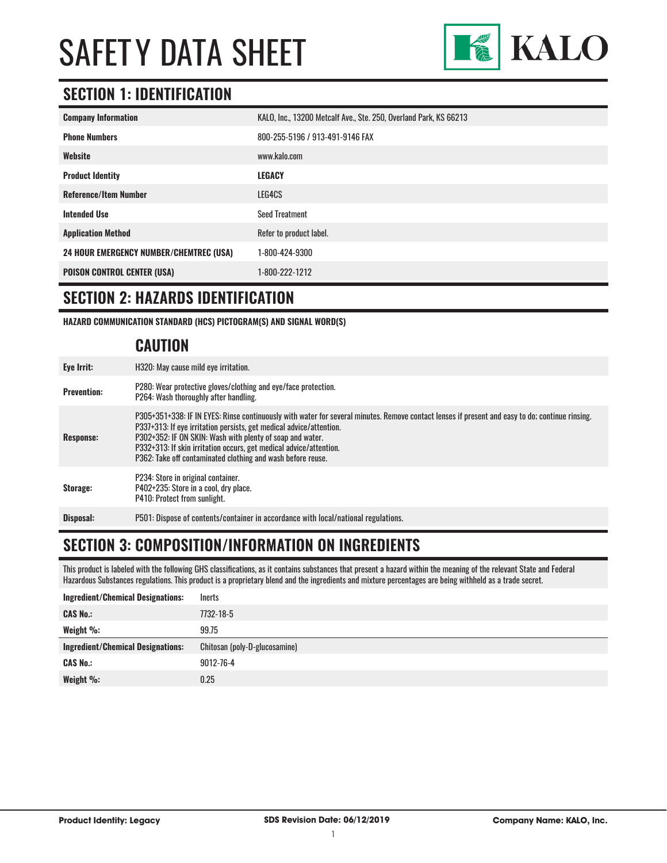

#### **SECTION 1: IDENTIFICATION**

| <b>Company Information</b>                     | KALO, Inc., 13200 Metcalf Ave., Ste. 250, Overland Park, KS 66213 |
|------------------------------------------------|-------------------------------------------------------------------|
| <b>Phone Numbers</b>                           | 800-255-5196 / 913-491-9146 FAX                                   |
| Website                                        | www.kalo.com                                                      |
| <b>Product Identity</b>                        | LEGACY                                                            |
| <b>Reference/Item Number</b>                   | LEG4CS                                                            |
| <b>Intended Use</b>                            | <b>Seed Treatment</b>                                             |
| <b>Application Method</b>                      | Refer to product label.                                           |
| <b>24 HOUR EMERGENCY NUMBER/CHEMTREC (USA)</b> | 1-800-424-9300                                                    |
| <b>POISON CONTROL CENTER (USA)</b>             | 1-800-222-1212                                                    |

#### **SECTION 2: HAZARDS IDENTIFICATION**

**HAZARD COMMUNICATION STANDARD (HCS) PICTOGRAM(S) AND SIGNAL WORD(S)**

#### **CAUTION**

| Eye Irrit:         | H320: May cause mild eye irritation.                                                                                                                                                                                                                                                                                                                                                                                     |
|--------------------|--------------------------------------------------------------------------------------------------------------------------------------------------------------------------------------------------------------------------------------------------------------------------------------------------------------------------------------------------------------------------------------------------------------------------|
| <b>Prevention:</b> | P280: Wear protective gloves/clothing and eye/face protection.<br>P264: Wash thoroughly after handling.                                                                                                                                                                                                                                                                                                                  |
| Response:          | P305+351+338: IF IN EYES: Rinse continuously with water for several minutes. Remove contact lenses if present and easy to do; continue rinsing.<br>P337+313: If eye irritation persists, get medical advice/attention.<br>P302+352: IF ON SKIN: Wash with plenty of soap and water.<br>P332+313: If skin irritation occurs, get medical advice/attention.<br>P362: Take off contaminated clothing and wash before reuse. |
| Storage:           | P234: Store in original container.<br>P402+235: Store in a cool, dry place.<br>P410: Protect from sunlight.                                                                                                                                                                                                                                                                                                              |
| Disposal:          | P501: Dispose of contents/container in accordance with local/national regulations.                                                                                                                                                                                                                                                                                                                                       |

#### **SECTION 3: COMPOSITION/INFORMATION ON INGREDIENTS**

This product is labeled with the following GHS classifications, as it contains substances that present a hazard within the meaning of the relevant State and Federal Hazardous Substances regulations. This product is a proprietary blend and the ingredients and mixture percentages are being withheld as a trade secret.

| <b>Ingredient/Chemical Designations:</b> | <b>Inerts</b>                 |
|------------------------------------------|-------------------------------|
| <b>CAS No.:</b>                          | 7732-18-5                     |
| Weight %:                                | 99.75                         |
|                                          |                               |
| <b>Ingredient/Chemical Designations:</b> | Chitosan (poly-D-glucosamine) |
| <b>CAS No.:</b>                          | 9012-76-4                     |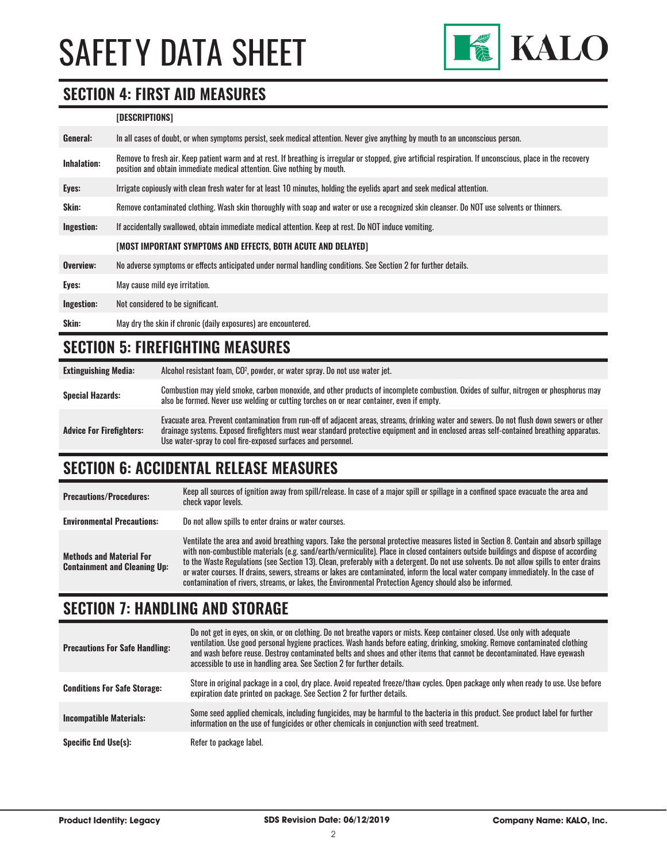

#### **SECTION 4: FIRST AID MEASURES**

#### **[DESCRIPTIONS]**

| General:     | In all cases of doubt, or when symptoms persist, seek medical attention. Never give anything by mouth to an unconscious person.                                                                                                         |
|--------------|-----------------------------------------------------------------------------------------------------------------------------------------------------------------------------------------------------------------------------------------|
| Inhalation:  | Remove to fresh air. Keep patient warm and at rest. If breathing is irregular or stopped, give artificial respiration. If unconscious, place in the recovery<br>position and obtain immediate medical attention. Give nothing by mouth. |
| Eyes:        | Irrigate copiously with clean fresh water for at least 10 minutes, holding the eyelids apart and seek medical attention.                                                                                                                |
| <b>Skin:</b> | Remove contaminated clothing. Wash skin thoroughly with soap and water or use a recognized skin cleanser. Do NOT use solvents or thinners.                                                                                              |
| Ingestion:   | If accidentally swallowed, obtain immediate medical attention. Keep at rest. Do NOT induce vomiting.                                                                                                                                    |
|              | [MOST IMPORTANT SYMPTOMS AND EFFECTS, BOTH ACUTE AND DELAYED]                                                                                                                                                                           |
| Overview:    | No adverse symptoms or effects anticipated under normal handling conditions. See Section 2 for further details.                                                                                                                         |
| Eyes:        | May cause mild eve irritation.                                                                                                                                                                                                          |
| Ingestion:   | Not considered to be significant.                                                                                                                                                                                                       |
| Skin:        | May dry the skin if chronic (daily exposures) are encountered.                                                                                                                                                                          |

#### **SECTION 5: FIREFIGHTING MEASURES**

**Extinguishing Media:** Alcohol resistant foam, CO2 , powder, or water spray. Do not use water jet. Special Hazards:<br>
Special Hazards:<br>
Special Hazards:<br>
Special Hazards:<br>
Special Hazards: also be formed. Never use welding or cutting torches on or near container, even if empty. **Advice For Firefighters:** Evacuate area. Prevent contamination from run-off of adjacent areas, streams, drinking water and sewers. Do not flush down sewers or other drainage systems. Exposed firefighters must wear standard protective equipment and in enclosed areas self-contained breathing apparatus. Use water-spray to cool fire-exposed surfaces and personnel.

#### **SECTION 6: ACCIDENTAL RELEASE MEASURES**

| <b>Precautions/Procedures:</b>                                         | Keep all sources of ignition away from spill/release. In case of a major spill or spillage in a confined space evacuate the area and<br>check vapor levels.                                                                                                                                                                                                                                                                                                                                                                                                                                                                                                               |
|------------------------------------------------------------------------|---------------------------------------------------------------------------------------------------------------------------------------------------------------------------------------------------------------------------------------------------------------------------------------------------------------------------------------------------------------------------------------------------------------------------------------------------------------------------------------------------------------------------------------------------------------------------------------------------------------------------------------------------------------------------|
| <b>Environmental Precautions:</b>                                      | Do not allow spills to enter drains or water courses.                                                                                                                                                                                                                                                                                                                                                                                                                                                                                                                                                                                                                     |
| <b>Methods and Material For</b><br><b>Containment and Cleaning Up:</b> | Ventilate the area and avoid breathing vapors. Take the personal protective measures listed in Section 8. Contain and absorb spillage<br>with non-combustible materials (e.g. sand/earth/vermiculite). Place in closed containers outside buildings and dispose of according<br>to the Waste Regulations (see Section 13). Clean, preferably with a detergent. Do not use solvents. Do not allow spills to enter drains<br>or water courses. If drains, sewers, streams or lakes are contaminated, inform the local water company immediately. In the case of<br>contamination of rivers, streams, or lakes, the Environmental Protection Agency should also be informed. |

#### **SECTION 7: HANDLING AND STORAGE**

| <b>Precautions For Safe Handling:</b> | Do not get in eyes, on skin, or on clothing. Do not breathe vapors or mists. Keep container closed. Use only with adequate<br>ventilation. Use good personal hygiene practices. Wash hands before eating, drinking, smoking. Remove contaminated clothing<br>and wash before reuse. Destrov contaminated belts and shoes and other items that cannot be decontaminated. Have evewash<br>accessible to use in handling area. See Section 2 for further details. |
|---------------------------------------|----------------------------------------------------------------------------------------------------------------------------------------------------------------------------------------------------------------------------------------------------------------------------------------------------------------------------------------------------------------------------------------------------------------------------------------------------------------|
| <b>Conditions For Safe Storage:</b>   | Store in original package in a cool, dry place. Avoid repeated freeze/thaw cycles. Open package only when ready to use. Use before<br>expiration date printed on package. See Section 2 for further details.                                                                                                                                                                                                                                                   |
| <b>Incompatible Materials:</b>        | Some seed applied chemicals, including fungicides, may be harmful to the bacteria in this product. See product label for further<br>information on the use of fungicides or other chemicals in conjunction with seed treatment.                                                                                                                                                                                                                                |
| <b>Specific End Use(s):</b>           | Refer to package label.                                                                                                                                                                                                                                                                                                                                                                                                                                        |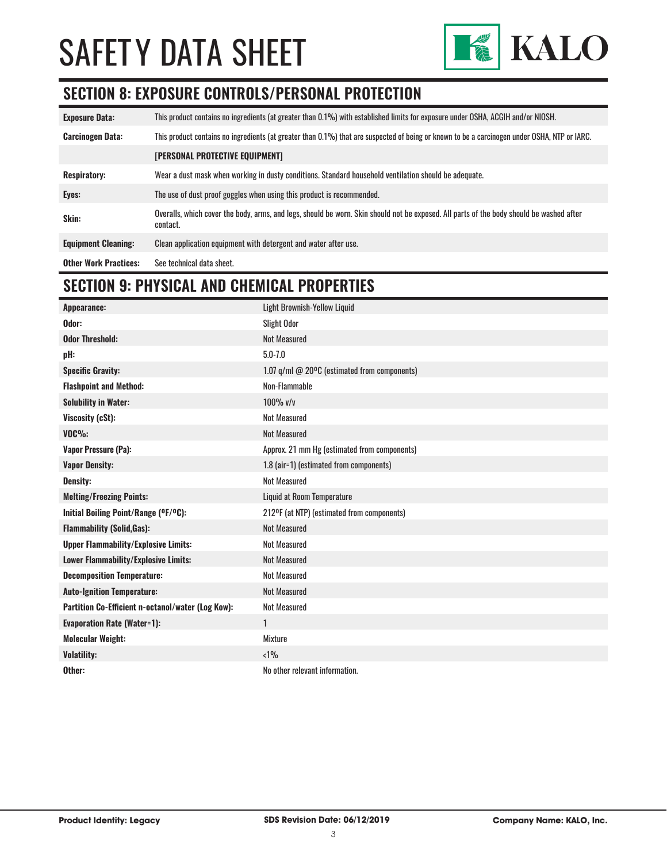

### **SECTION 8: EXPOSURE CONTROLS/PERSONAL PROTECTION**

| <b>Exposure Data:</b>        | This product contains no ingredients (at greater than 0.1%) with established limits for exposure under OSHA, ACGIH and/or NIOSH.                     |
|------------------------------|------------------------------------------------------------------------------------------------------------------------------------------------------|
| <b>Carcinogen Data:</b>      | This product contains no ingredients (at greater than 0.1%) that are suspected of being or known to be a carcinogen under OSHA. NTP or IARC.         |
|                              | <b>[PERSONAL PROTECTIVE EQUIPMENT]</b>                                                                                                               |
| <b>Respiratory:</b>          | Wear a dust mask when working in dusty conditions. Standard household ventilation should be adequate.                                                |
| Eyes:                        | The use of dust proof goggles when using this product is recommended.                                                                                |
| Skin:                        | Overalls, which cover the body, arms, and legs, should be worn. Skin should not be exposed. All parts of the body should be washed after<br>contact. |
| <b>Equipment Cleaning:</b>   | Clean application equipment with detergent and water after use.                                                                                      |
| <b>Other Work Practices:</b> | See technical data sheet.                                                                                                                            |

### **SECTION 9: PHYSICAL AND CHEMICAL PROPERTIES**

| Appearance:                                       | Light Brownish-Yellow Liquid                 |
|---------------------------------------------------|----------------------------------------------|
| Odor:                                             | <b>Slight Odor</b>                           |
| <b>Odor Threshold:</b>                            | <b>Not Measured</b>                          |
| pH:                                               | $5.0 - 7.0$                                  |
| <b>Specific Gravity:</b>                          | 1.07 q/ml @ 20°C (estimated from components) |
| <b>Flashpoint and Method:</b>                     | Non-Flammable                                |
| <b>Solubility in Water:</b>                       | $100\%$ v/v                                  |
| Viscosity (cSt):                                  | <b>Not Measured</b>                          |
| <b>VOC%:</b>                                      | <b>Not Measured</b>                          |
| Vapor Pressure (Pa):                              | Approx. 21 mm Hg (estimated from components) |
| <b>Vapor Density:</b>                             | 1.8 (air=1) (estimated from components)      |
| Density:                                          | <b>Not Measured</b>                          |
| <b>Melting/Freezing Points:</b>                   | <b>Liquid at Room Temperature</b>            |
| Initial Boiling Point/Range (°F/°C):              | 212ºF (at NTP) (estimated from components)   |
| <b>Flammability (Solid, Gas):</b>                 | <b>Not Measured</b>                          |
| <b>Upper Flammability/Explosive Limits:</b>       | <b>Not Measured</b>                          |
| Lower Flammability/Explosive Limits:              | <b>Not Measured</b>                          |
| <b>Decomposition Temperature:</b>                 | <b>Not Measured</b>                          |
| <b>Auto-Ignition Temperature:</b>                 | <b>Not Measured</b>                          |
| Partition Co-Efficient n-octanol/water (Log Kow): | <b>Not Measured</b>                          |
| <b>Evaporation Rate (Water=1):</b>                | 1                                            |
| <b>Molecular Weight:</b>                          | Mixture                                      |
| <b>Volatility:</b>                                | < 1%                                         |
| Other:                                            | No other relevant information.               |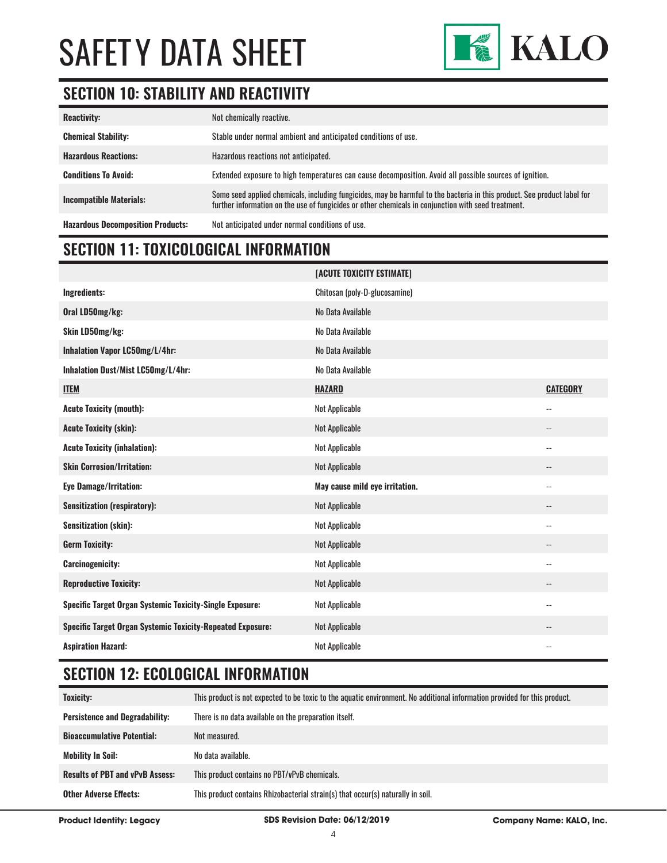

### **SECTION 10: STABILITY AND REACTIVITY**

| <b>Reactivity:</b>                       | Not chemically reactive.                                                                                                                                                                                                        |
|------------------------------------------|---------------------------------------------------------------------------------------------------------------------------------------------------------------------------------------------------------------------------------|
| <b>Chemical Stability:</b>               | Stable under normal ambient and anticipated conditions of use.                                                                                                                                                                  |
| <b>Hazardous Reactions:</b>              | Hazardous reactions not anticipated.                                                                                                                                                                                            |
| <b>Conditions To Avoid:</b>              | Extended exposure to high temperatures can cause decomposition. Avoid all possible sources of ignition.                                                                                                                         |
| <b>Incompatible Materials:</b>           | Some seed applied chemicals, including fungicides, may be harmful to the bacteria in this product. See product label for<br>further information on the use of fungicides or other chemicals in conjunction with seed treatment. |
| <b>Hazardous Decomposition Products:</b> | Not anticipated under normal conditions of use.                                                                                                                                                                                 |

#### **SECTION 11: TOXICOLOGICAL INFORMATION**

|                                                                   | [ACUTE TOXICITY ESTIMATE]      |                            |
|-------------------------------------------------------------------|--------------------------------|----------------------------|
| Ingredients:                                                      | Chitosan (poly-D-glucosamine)  |                            |
| Oral LD50mg/kg:                                                   | No Data Available              |                            |
| Skin LD50mg/kg:                                                   | No Data Available              |                            |
| Inhalation Vapor LC50mg/L/4hr:                                    | No Data Available              |                            |
| Inhalation Dust/Mist LC50mg/L/4hr:                                | No Data Available              |                            |
| <b>ITEM</b>                                                       | <b>HAZARD</b>                  | <b>CATEGORY</b>            |
| <b>Acute Toxicity (mouth):</b>                                    | <b>Not Applicable</b>          | $\overline{\phantom{a}}$ . |
| <b>Acute Toxicity (skin):</b>                                     | <b>Not Applicable</b>          | $\overline{\phantom{a}}$   |
| <b>Acute Toxicity (inhalation):</b>                               | <b>Not Applicable</b>          | $\overline{\phantom{a}}$   |
| <b>Skin Corrosion/Irritation:</b>                                 | <b>Not Applicable</b>          |                            |
| <b>Eye Damage/Irritation:</b>                                     | May cause mild eye irritation. | $\overline{\phantom{a}}$ . |
| <b>Sensitization (respiratory):</b>                               | <b>Not Applicable</b>          | $\qquad \qquad -$          |
| <b>Sensitization (skin):</b>                                      | Not Applicable                 | $\overline{\phantom{a}}$   |
| <b>Germ Toxicity:</b>                                             | <b>Not Applicable</b>          | $-$                        |
| <b>Carcinogenicity:</b>                                           | <b>Not Applicable</b>          | $\overline{\phantom{a}}$   |
| <b>Reproductive Toxicity:</b>                                     | <b>Not Applicable</b>          | $\overline{\phantom{a}}$   |
| Specific Target Organ Systemic Toxicity-Single Exposure:          | <b>Not Applicable</b>          | $\overline{\phantom{a}}$ . |
| <b>Specific Target Organ Systemic Toxicity-Repeated Exposure:</b> | Not Applicable                 | $\overline{\phantom{a}}$   |
| <b>Aspiration Hazard:</b>                                         | <b>Not Applicable</b>          | $-$                        |

### **SECTION 12: ECOLOGICAL INFORMATION**

| Toxicity:                              | This product is not expected to be toxic to the aquatic environment. No additional information provided for this product. |
|----------------------------------------|---------------------------------------------------------------------------------------------------------------------------|
| <b>Persistence and Degradability:</b>  | There is no data available on the preparation itself.                                                                     |
| <b>Bioaccumulative Potential:</b>      | Not measured.                                                                                                             |
| <b>Mobility In Soil:</b>               | No data available.                                                                                                        |
| <b>Results of PBT and vPvB Assess:</b> | This product contains no PBT/vPvB chemicals.                                                                              |
| <b>Other Adverse Effects:</b>          | This product contains Rhizobacterial strain(s) that occur(s) naturally in soil.                                           |